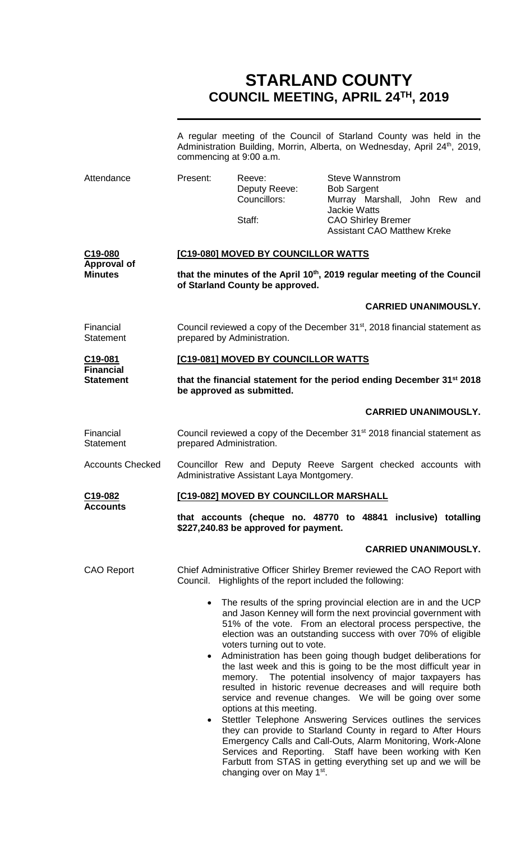# **STARLAND COUNTY COUNCIL MEETING, APRIL 24TH, 2019**

|                                                 | commencing at 9:00 a.m.                                                                                                                                                                                                                                                                                                                                                                                                                                                                                                        |                                           |                                                                     | A regular meeting of the Council of Starland County was held in the<br>Administration Building, Morrin, Alberta, on Wednesday, April 24 <sup>th</sup> , 2019, |  |  |
|-------------------------------------------------|--------------------------------------------------------------------------------------------------------------------------------------------------------------------------------------------------------------------------------------------------------------------------------------------------------------------------------------------------------------------------------------------------------------------------------------------------------------------------------------------------------------------------------|-------------------------------------------|---------------------------------------------------------------------|---------------------------------------------------------------------------------------------------------------------------------------------------------------|--|--|
| Attendance                                      | Present:                                                                                                                                                                                                                                                                                                                                                                                                                                                                                                                       | Reeve:<br>Deputy Reeve:<br>Councillors:   | <b>Steve Wannstrom</b><br><b>Bob Sargent</b><br><b>Jackie Watts</b> | Murray Marshall, John Rew and                                                                                                                                 |  |  |
|                                                 |                                                                                                                                                                                                                                                                                                                                                                                                                                                                                                                                | Staff:                                    | <b>CAO Shirley Bremer</b>                                           | <b>Assistant CAO Matthew Kreke</b>                                                                                                                            |  |  |
| C <sub>19</sub> -080<br><b>Approval of</b>      | [C19-080] MOVED BY COUNCILLOR WATTS                                                                                                                                                                                                                                                                                                                                                                                                                                                                                            |                                           |                                                                     |                                                                                                                                                               |  |  |
| <b>Minutes</b>                                  | that the minutes of the April 10 <sup>th</sup> , 2019 regular meeting of the Council<br>of Starland County be approved.                                                                                                                                                                                                                                                                                                                                                                                                        |                                           |                                                                     |                                                                                                                                                               |  |  |
|                                                 |                                                                                                                                                                                                                                                                                                                                                                                                                                                                                                                                |                                           |                                                                     | <b>CARRIED UNANIMOUSLY.</b>                                                                                                                                   |  |  |
| Financial<br><b>Statement</b>                   | Council reviewed a copy of the December 31 <sup>st</sup> , 2018 financial statement as<br>prepared by Administration.                                                                                                                                                                                                                                                                                                                                                                                                          |                                           |                                                                     |                                                                                                                                                               |  |  |
| C19-081<br><b>Financial</b><br><b>Statement</b> |                                                                                                                                                                                                                                                                                                                                                                                                                                                                                                                                | [C19-081] MOVED BY COUNCILLOR WATTS       |                                                                     |                                                                                                                                                               |  |  |
|                                                 | that the financial statement for the period ending December 31 <sup>st</sup> 2018<br>be approved as submitted.                                                                                                                                                                                                                                                                                                                                                                                                                 |                                           |                                                                     |                                                                                                                                                               |  |  |
|                                                 |                                                                                                                                                                                                                                                                                                                                                                                                                                                                                                                                |                                           |                                                                     | <b>CARRIED UNANIMOUSLY.</b>                                                                                                                                   |  |  |
| Financial<br><b>Statement</b>                   | prepared Administration.                                                                                                                                                                                                                                                                                                                                                                                                                                                                                                       |                                           |                                                                     | Council reviewed a copy of the December 31 <sup>st</sup> 2018 financial statement as                                                                          |  |  |
| <b>Accounts Checked</b>                         |                                                                                                                                                                                                                                                                                                                                                                                                                                                                                                                                | Administrative Assistant Laya Montgomery. |                                                                     | Councillor Rew and Deputy Reeve Sargent checked accounts with                                                                                                 |  |  |
| C19-082                                         | [C19-082] MOVED BY COUNCILLOR MARSHALL                                                                                                                                                                                                                                                                                                                                                                                                                                                                                         |                                           |                                                                     |                                                                                                                                                               |  |  |
| <b>ACCOUNtS</b>                                 | that accounts (cheque no. 48770 to 48841 inclusive) totalling<br>\$227,240.83 be approved for payment.                                                                                                                                                                                                                                                                                                                                                                                                                         |                                           |                                                                     |                                                                                                                                                               |  |  |
|                                                 |                                                                                                                                                                                                                                                                                                                                                                                                                                                                                                                                |                                           |                                                                     | <b>CARRIED UNANIMOUSLY.</b>                                                                                                                                   |  |  |
| <b>CAO Report</b>                               | Chief Administrative Officer Shirley Bremer reviewed the CAO Report with<br>Council. Highlights of the report included the following:                                                                                                                                                                                                                                                                                                                                                                                          |                                           |                                                                     |                                                                                                                                                               |  |  |
|                                                 | The results of the spring provincial election are in and the UCP<br>$\bullet$<br>and Jason Kenney will form the next provincial government with<br>51% of the vote. From an electoral process perspective, the<br>election was an outstanding success with over 70% of eligible<br>voters turning out to vote.<br>Administration has been going though budget deliberations for<br>$\bullet$<br>the last week and this is going to be the most difficult year in<br>The potential insolvency of major taxpayers has<br>memory. |                                           |                                                                     |                                                                                                                                                               |  |  |
|                                                 | resulted in historic revenue decreases and will require both<br>service and revenue changes. We will be going over some<br>options at this meeting.<br>Stettler Telephone Answering Services outlines the services<br>$\bullet$<br>they can provide to Starland County in regard to After Hours<br>Emergency Calls and Call-Outs, Alarm Monitoring, Work-Alone<br>Services and Reporting. Staff have been working with Ken<br>Farbutt from STAS in getting everything set up and we will be                                    |                                           |                                                                     |                                                                                                                                                               |  |  |

changing over on May 1<sup>st</sup>.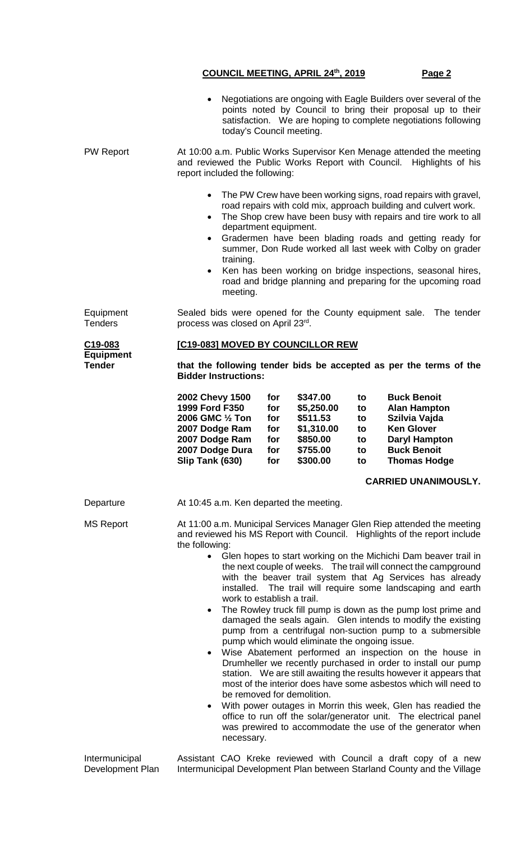|                                              |                                                                                                                                                                                                                                                                                                                                                                                                                                                                                                                                                                                                                                                                                                                                                                                                                                                                                                                                                                                                                                                                                                                                                                                                                                                                                | today's Council meeting. |                                               | Negotiations are ongoing with Eagle Builders over several of the<br>points noted by Council to bring their proposal up to their<br>satisfaction. We are hoping to complete negotiations following |                                        |                                                                                                                                               |                             |
|----------------------------------------------|--------------------------------------------------------------------------------------------------------------------------------------------------------------------------------------------------------------------------------------------------------------------------------------------------------------------------------------------------------------------------------------------------------------------------------------------------------------------------------------------------------------------------------------------------------------------------------------------------------------------------------------------------------------------------------------------------------------------------------------------------------------------------------------------------------------------------------------------------------------------------------------------------------------------------------------------------------------------------------------------------------------------------------------------------------------------------------------------------------------------------------------------------------------------------------------------------------------------------------------------------------------------------------|--------------------------|-----------------------------------------------|---------------------------------------------------------------------------------------------------------------------------------------------------------------------------------------------------|----------------------------------------|-----------------------------------------------------------------------------------------------------------------------------------------------|-----------------------------|
| <b>PW Report</b>                             | At 10:00 a.m. Public Works Supervisor Ken Menage attended the meeting<br>and reviewed the Public Works Report with Council. Highlights of his<br>report included the following:                                                                                                                                                                                                                                                                                                                                                                                                                                                                                                                                                                                                                                                                                                                                                                                                                                                                                                                                                                                                                                                                                                |                          |                                               |                                                                                                                                                                                                   |                                        |                                                                                                                                               |                             |
|                                              | The PW Crew have been working signs, road repairs with gravel,<br>$\bullet$<br>road repairs with cold mix, approach building and culvert work.<br>The Shop crew have been busy with repairs and tire work to all<br>$\bullet$<br>department equipment.<br>Gradermen have been blading roads and getting ready for<br>$\bullet$<br>summer, Don Rude worked all last week with Colby on grader<br>training.<br>Ken has been working on bridge inspections, seasonal hires,<br>$\bullet$<br>road and bridge planning and preparing for the upcoming road<br>meeting.                                                                                                                                                                                                                                                                                                                                                                                                                                                                                                                                                                                                                                                                                                              |                          |                                               |                                                                                                                                                                                                   |                                        |                                                                                                                                               |                             |
| Equipment<br><b>Tenders</b>                  | Sealed bids were opened for the County equipment sale.<br>The tender<br>process was closed on April 23rd.                                                                                                                                                                                                                                                                                                                                                                                                                                                                                                                                                                                                                                                                                                                                                                                                                                                                                                                                                                                                                                                                                                                                                                      |                          |                                               |                                                                                                                                                                                                   |                                        |                                                                                                                                               |                             |
| C19-083<br><b>Equipment</b><br><b>Tender</b> | [C19-083] MOVED BY COUNCILLOR REW<br>that the following tender bids be accepted as per the terms of the<br><b>Bidder Instructions:</b>                                                                                                                                                                                                                                                                                                                                                                                                                                                                                                                                                                                                                                                                                                                                                                                                                                                                                                                                                                                                                                                                                                                                         |                          |                                               |                                                                                                                                                                                                   |                                        |                                                                                                                                               |                             |
|                                              | 2002 Chevy 1500<br>1999 Ford F350<br>2006 GMC 1/2 Ton<br>2007 Dodge Ram<br>2007 Dodge Ram<br>2007 Dodge Dura<br>Slip Tank (630)                                                                                                                                                                                                                                                                                                                                                                                                                                                                                                                                                                                                                                                                                                                                                                                                                                                                                                                                                                                                                                                                                                                                                |                          | for<br>for<br>for<br>for<br>for<br>for<br>for | \$347.00<br>\$5,250.00<br>\$511.53<br>\$1,310.00<br>\$850.00<br>\$755.00<br>\$300.00                                                                                                              | to<br>to<br>to<br>to<br>to<br>to<br>to | <b>Buck Benoit</b><br><b>Alan Hampton</b><br>Szilvia Vajda<br><b>Ken Glover</b><br><b>Daryl Hampton</b><br><b>Buck Benoit</b><br>Thomas Hodge |                             |
|                                              |                                                                                                                                                                                                                                                                                                                                                                                                                                                                                                                                                                                                                                                                                                                                                                                                                                                                                                                                                                                                                                                                                                                                                                                                                                                                                |                          |                                               |                                                                                                                                                                                                   |                                        |                                                                                                                                               | <b>CARRIED UNANIMOUSLY.</b> |
| Departure                                    |                                                                                                                                                                                                                                                                                                                                                                                                                                                                                                                                                                                                                                                                                                                                                                                                                                                                                                                                                                                                                                                                                                                                                                                                                                                                                |                          |                                               | At 10:45 a.m. Ken departed the meeting.                                                                                                                                                           |                                        |                                                                                                                                               |                             |
| <b>MS Report</b>                             | At 11:00 a.m. Municipal Services Manager Glen Riep attended the meeting<br>and reviewed his MS Report with Council. Highlights of the report include<br>the following:<br>Glen hopes to start working on the Michichi Dam beaver trail in<br>$\bullet$<br>the next couple of weeks. The trail will connect the campground<br>with the beaver trail system that Ag Services has already<br>installed. The trail will require some landscaping and earth<br>work to establish a trail.<br>The Rowley truck fill pump is down as the pump lost prime and<br>$\bullet$<br>damaged the seals again. Glen intends to modify the existing<br>pump from a centrifugal non-suction pump to a submersible<br>pump which would eliminate the ongoing issue.<br>Wise Abatement performed an inspection on the house in<br>Drumheller we recently purchased in order to install our pump<br>station. We are still awaiting the results however it appears that<br>most of the interior does have some asbestos which will need to<br>be removed for demolition.<br>With power outages in Morrin this week, Glen has readied the<br>$\bullet$<br>office to run off the solar/generator unit. The electrical panel<br>was prewired to accommodate the use of the generator when<br>necessary. |                          |                                               |                                                                                                                                                                                                   |                                        |                                                                                                                                               |                             |

Intermunicipal Development Plan Assistant CAO Kreke reviewed with Council a draft copy of a new Intermunicipal Development Plan between Starland County and the Village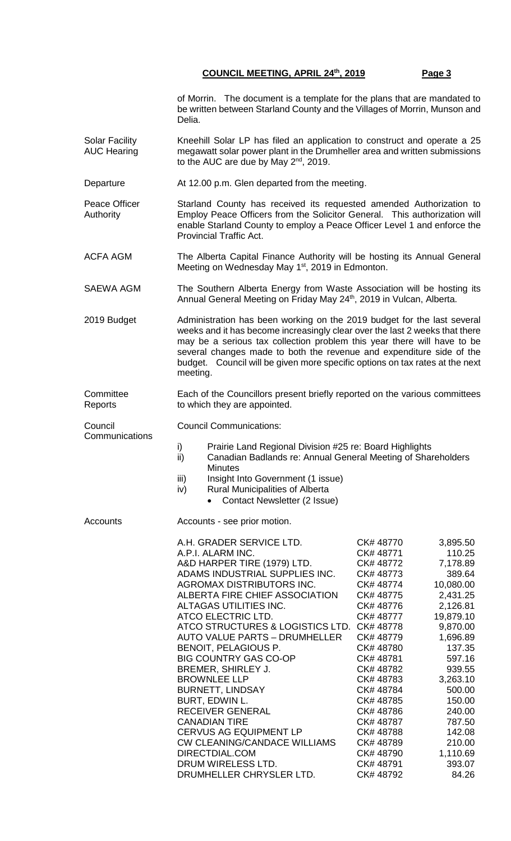of Morrin. The document is a template for the plans that are mandated to be written between Starland County and the Villages of Morrin, Munson and Delia.

- Solar Facility AUC Hearing Kneehill Solar LP has filed an application to construct and operate a 25 megawatt solar power plant in the Drumheller area and written submissions to the AUC are due by May  $2^{nd}$ , 2019.
- Departure At 12.00 p.m. Glen departed from the meeting.

Peace Officer Authority Starland County has received its requested amended Authorization to Employ Peace Officers from the Solicitor General. This authorization will enable Starland County to employ a Peace Officer Level 1 and enforce the Provincial Traffic Act.

ACFA AGM The Alberta Capital Finance Authority will be hosting its Annual General Meeting on Wednesday May 1<sup>st</sup>, 2019 in Edmonton.

SAEWA AGM The Southern Alberta Energy from Waste Association will be hosting its Annual General Meeting on Friday May 24<sup>th</sup>, 2019 in Vulcan, Alberta.

2019 Budget Administration has been working on the 2019 budget for the last several weeks and it has become increasingly clear over the last 2 weeks that there may be a serious tax collection problem this year there will have to be several changes made to both the revenue and expenditure side of the budget. Council will be given more specific options on tax rates at the next meeting.

**Committee** Reports Each of the Councillors present briefly reported on the various committees to which they are appointed.

Council Communications:

- i) Prairie Land Regional Division #25 re: Board Highlights
- ii) Canadian Badlands re: Annual General Meeting of Shareholders **Minutes**
- iii) Insight Into Government (1 issue)
- iv) Rural Municipalities of Alberta
	- Contact Newsletter (2 Issue)

Council

**Communications** 

Accounts **Accounts** - see prior motion.

| A.H. GRADER SERVICE LTD.                   | CK#48770  | 3,895.50  |
|--------------------------------------------|-----------|-----------|
| A.P.I. ALARM INC.                          | CK#48771  | 110.25    |
| A&D HARPER TIRE (1979) LTD.                | CK# 48772 | 7,178.89  |
| ADAMS INDUSTRIAL SUPPLIES INC.             | CK#48773  | 389.64    |
| AGROMAX DISTRIBUTORS INC.                  | CK# 48774 | 10,080.00 |
| ALBERTA FIRE CHIEF ASSOCIATION             | CK# 48775 | 2,431.25  |
| ALTAGAS UTILITIES INC.                     | CK# 48776 | 2,126.81  |
| ATCO ELECTRIC LTD.                         | CK#48777  | 19,879.10 |
| ATCO STRUCTURES & LOGISTICS LTD. CK# 48778 |           | 9,870.00  |
| AUTO VALUE PARTS - DRUMHELLER              | CK# 48779 | 1,696.89  |
| BENOIT, PELAGIOUS P.                       | CK# 48780 | 137.35    |
| BIG COUNTRY GAS CO-OP                      | CK# 48781 | 597.16    |
| BREMER, SHIRLEY J.                         | CK# 48782 | 939.55    |
| <b>BROWNLEE LLP</b>                        | CK# 48783 | 3,263.10  |
| BURNETT, LINDSAY                           | CK# 48784 | 500.00    |
| BURT, EDWIN L.                             | CK# 48785 | 150.00    |
| RECEIVER GENERAL                           | CK# 48786 | 240.00    |
| <b>CANADIAN TIRE</b>                       | CK#48787  | 787.50    |
| <b>CERVUS AG EQUIPMENT LP</b>              | CK# 48788 | 142.08    |
| <b>CW CLEANING/CANDACE WILLIAMS</b>        | CK# 48789 | 210.00    |
| DIRECTDIAL.COM                             | CK# 48790 | 1,110.69  |
| DRUM WIRELESS LTD.                         | CK# 48791 | 393.07    |
| DRUMHELLER CHRYSLER LTD.                   | CK# 48792 | 84.26     |
|                                            |           |           |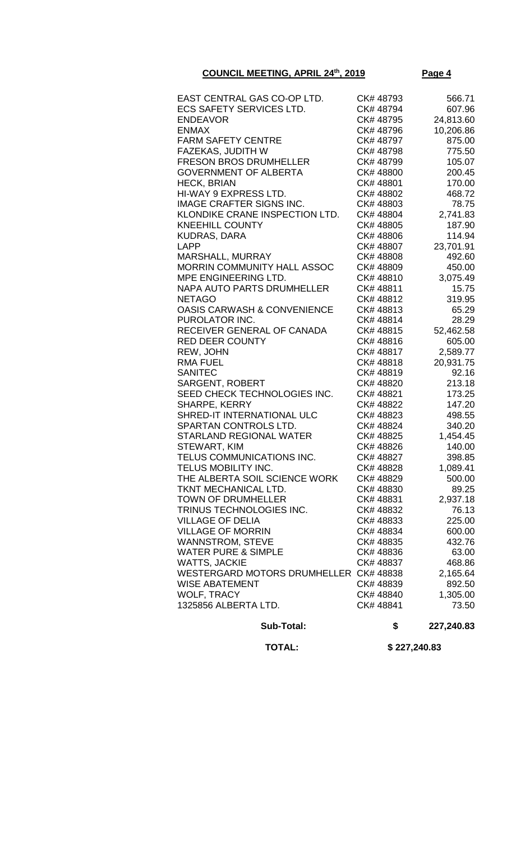| EAST CENTRAL GAS CO-OP LTD.            | CK# 48793 | 566.71    |
|----------------------------------------|-----------|-----------|
| <b>ECS SAFETY SERVICES LTD.</b>        | CK# 48794 | 607.96    |
| <b>ENDEAVOR</b>                        | CK# 48795 | 24,813.60 |
| <b>ENMAX</b>                           | CK# 48796 | 10,206.86 |
| <b>FARM SAFETY CENTRE</b>              | CK# 48797 | 875.00    |
| FAZEKAS, JUDITH W                      | CK# 48798 | 775.50    |
| <b>FRESON BROS DRUMHELLER</b>          | CK# 48799 | 105.07    |
| <b>GOVERNMENT OF ALBERTA</b>           | CK# 48800 | 200.45    |
| <b>HECK, BRIAN</b>                     | CK# 48801 | 170.00    |
| HI-WAY 9 EXPRESS LTD.                  | CK# 48802 | 468.72    |
| <b>IMAGE CRAFTER SIGNS INC.</b>        | CK# 48803 | 78.75     |
| KLONDIKE CRANE INSPECTION LTD.         | CK# 48804 | 2,741.83  |
| <b>KNEEHILL COUNTY</b>                 | CK# 48805 | 187.90    |
| <b>KUDRAS, DARA</b>                    | CK# 48806 | 114.94    |
| <b>LAPP</b>                            | CK# 48807 | 23,701.91 |
| MARSHALL, MURRAY                       | CK#48808  | 492.60    |
| MORRIN COMMUNITY HALL ASSOC            | CK#48809  | 450.00    |
| MPE ENGINEERING LTD.                   | CK#48810  | 3,075.49  |
| NAPA AUTO PARTS DRUMHELLER             | CK#48811  | 15.75     |
| <b>NETAGO</b>                          | CK# 48812 | 319.95    |
| <b>OASIS CARWASH &amp; CONVENIENCE</b> | CK#48813  | 65.29     |
| PUROLATOR INC.                         | CK#48814  | 28.29     |
| RECEIVER GENERAL OF CANADA             | CK#48815  | 52,462.58 |
| <b>RED DEER COUNTY</b>                 | CK#48816  | 605.00    |
| REW, JOHN                              | CK#48817  | 2,589.77  |
| <b>RMA FUEL</b>                        | CK#48818  | 20,931.75 |
| <b>SANITEC</b>                         | CK#48819  | 92.16     |
| <b>SARGENT, ROBERT</b>                 | CK# 48820 | 213.18    |
| SEED CHECK TECHNOLOGIES INC.           | CK# 48821 | 173.25    |
| SHARPE, KERRY                          | CK# 48822 | 147.20    |
| SHRED-IT INTERNATIONAL ULC             | CK# 48823 | 498.55    |
| SPARTAN CONTROLS LTD.                  | CK# 48824 | 340.20    |
| <b>STARLAND REGIONAL WATER</b>         | CK# 48825 | 1,454.45  |
| STEWART, KIM                           | CK# 48826 | 140.00    |
| TELUS COMMUNICATIONS INC.              | CK# 48827 | 398.85    |
| TELUS MOBILITY INC.                    | CK# 48828 | 1,089.41  |
| THE ALBERTA SOIL SCIENCE WORK          | CK# 48829 | 500.00    |
| TKNT MECHANICAL LTD.                   | CK# 48830 | 89.25     |
| <b>TOWN OF DRUMHELLER</b>              | CK#48831  | 2,937.18  |
| TRINUS TECHNOLOGIES INC.               | CK# 48832 | 76.13     |
| <b>VILLAGE OF DELIA</b>                | CK#48833  | 225.00    |
| <b>VILLAGE OF MORRIN</b>               | CK# 48834 | 600.00    |
| <b>WANNSTROM, STEVE</b>                | CK# 48835 | 432.76    |
| <b>WATER PURE &amp; SIMPLE</b>         | CK#48836  | 63.00     |
| <b>WATTS, JACKIE</b>                   | CK# 48837 | 468.86    |
| WESTERGARD MOTORS DRUMHELLER CK# 48838 |           | 2,165.64  |
| <b>WISE ABATEMENT</b>                  | CK# 48839 | 892.50    |
| <b>WOLF, TRACY</b>                     | CK# 48840 | 1,305.00  |
| 1325856 ALBERTA LTD.                   | CK# 48841 | 73.50     |
|                                        |           |           |

 **Sub-Total: \$ 227,240.83**

 **TOTAL: \$ 227,240.83**